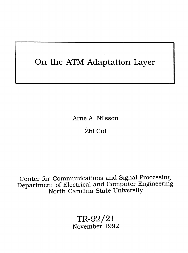# On the ATM Adaptation Layer

Arne A. **Nilsson**

## Zhi Cui

Center for Communications and Signal Processing Department of Electrical and Computer Engineering North Carolina State University

> TR-92/21 November 1992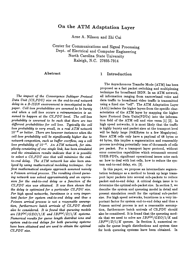### On the ATM Adaptation Layer

Arne A. Nilsson and Zhi Cui

Center for Communications and Signal Processing Dept. of Electrical and Computer Engineering North Carolina State University Raleigh, N.C. 27695-7914

#### Abstract

*The impact of the Convergence Sublayer Protocol Data Unit* (CS\_PDU) size on the end-to-end network *delay* in a B-ISDN environment is investigated in this *paper.* Cell loss probabilities are assumed to be bursty and when a cell loss occurs a retransmission is as*sumed to happen at the CSYD U level. The cell <sup>1066</sup> probability is assumed to be sucb: that there are two different probabilities for cell loss, Typically the cell loss probability is very small, in a real ATM network* 10- <sup>9</sup> or *better. There are however instances when the cell 10"" probability will be "ignificantly higher due to network conqesiion, such: as buffer overflow, .,ay a cell* loss probability of  $10^{-3}$ . An ATM network, for sim*plicity consistinq of one* ~ingle *link, has been simulated and the simulation results indicate that it* i., *possible to* select a CS\_PDU size that will minimize the end*to-end delay. The ATM network has also been analyzed* by using mathematical modeling technique. Our *fir.,t mathematical analy.,i\$ approach assumed naively a Poisson arrival process, The resuliinq closed queueing network uias solved approzimately and an ezpres- "ion for the end-to-end delay as a function of the CSYD U size uias obtained. It WtU then shoum that the delay is optimized for a particular CS\_PDU size. For high speed networks, burstiness is a very important factor for "ystem end-to-end delay and thus a Poisson arrival process is not a reasonable assumption, furthermore batch arrivals of CSYD U should* also be considered. It is found that queueing models  $are IBP<sup>[2]</sup>/GEO/1/K$  and  $IBP<sup>[2]</sup>/D/1/K$  systems. *Numerical results for queue length distribui ions and*  $system$  *end-to-end delays* for *both* queueing systems *have been obtained and are used to obtain the optimal CSYDU size.*

#### 1 Introduction

The Asynchronous Transfer Mode (ATM) has been proposed as a fast packet switching and multiplexing technique for broadband ISDN. In an ATM network, all information ranging' from narrowband voice and data traffic to broadband video traffic is transmitted using a fixed size "cell". The ATM Adaptation Layer (AAL) isolates the higher layers from the specific characteristics of the ATM layer by mapping the higher layer Protocol Data Units(PDUs) into the information field of the ATM cell and vice versa [1] [2]. In high speed networks, it is most likely that the traffic is highly bursty and packet sizes at the transport level will be fairly large (64KBytes to a few Megabytes). Since ATM cells only have a payload of 48 bytes or 44 bytes, this implies a segmentation and reassembly process involving potentially tens of thousands of cells per packet. For a transport layer protocol, without error correction capabilities which retransmit errored USER-PDUs, significant operational issues arise such as: how to deal with lost cells, how to reduce the system end-to-end delay, etc. [3].

In this paper, we propose an intermediate segmentation technique as a method to break up large transport layer packets into several sub-packets to reduce packet end-to-end delay. A critical design issue is to determine the optimal sub-packet size. In section 2, we describe the system and queueing model in detail and present simulation result for the optimal sub-packet size. For high speed networks, burstiness is a very important factor for system end-to-end delay and thus a Poisson arrival process is not a reasonable assumption, furthermore batch arrivals of CS-PDU should also be considered. It is found that the queueing models that we need to solve are  $IBP<sup>[x]</sup> / GEO/1/K$  and  $IBP<sup>[x]</sup>/D/1/K$  queues. In Section 3, numerical results for queue length distributions and system time for both queueing systems have been obtained. In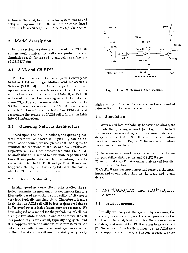section 4, the analytical results for system end-to-end delay and optimal CS-PDU size are obtained based upon  $IBP^{[\infty]}/GEO/1/K$  and  $IBP^{[\infty]}/D/1/K$  queues.

#### 2 Model description

In this section, we describe in detail the CS-PDU and network architecture, cell-error probability and simulation result for the end-to-end delay as a function of CS.PDU size.

#### 2.1 AAL and CS\_PDU

The AAL consists of two sub-layers: Convergence Sub-layer(CS) and Segmentation And Re-assembly Sublayer(SAR) [4]. In CS, a big packet is broken up into several sub-packets so called CS-SDU:s. By adding headers and trailers to the CS-SDU, a CS-PDU is formed [7]. At the receiving side of the network, these CS\_PDUs will be reassembled to packets. In the SAR-sublayer, we segment the CS\_PDU into a size suitable for the information field of an ATM cell, and reassemble the contents of ATM cell information fields into CS information.

#### 2.2 Queueing Network Architecture.

Based upon the AAL functions, the queueing network structure, as shown in Figure 1, can be derived. At the source, we use queues split1 and split2 to simulate the functions of the CS and SAR-sublayers, respectively. Cells are transmitted into the ATMnetwork which is assumed to have finite capacities and low cell loss probability. At the destination, the cells are reassembled to CS\_PDU and packets. If an error happens either by cell loss or by bit error, the particular CS\_PDU will be retransmitted.

#### 2.3 Error Probability

In high speed networks, fiber optics is often the selected transmission medium. It is well known that in a fiber optic based network, the probability of bit error is very low, typically less than  $10^{-9}$ . Therefore it is more likely that an ATM cell will be lost or destroyed due to buffer overflow or a lack of some network resource. We have adopted as a model for the probability of cell loss a simple two state model. In one of the states the cell loss probability is very small, typically negligible, and this happens when the amount of information in the network is smaller than the network system capacity. In the other state the cell loss probability is typically



Figure 1: ATM Network Architecture.

high and this, of course, happens when the amount of information in the network is significant.

#### 2.4 Simulation

Given a cell loss probability behavior as above, we simulate the queueing network [see Figure 1] to find the mean end-to-end delay.and maximum end-to-end delay in terms of the CS\_PDU size. The simulation result is presented in Figure 2, From the simulation result, we can conclude:

1) the mean end-to-end delay depends upon the error probability distribution and CS\_PDU size;

2) an optimal CS\_PDU size under a given cell loss distribution can be found;

3) CS\_PDU size has much more influence on the maximum end-to-end delay than on the mean end-to-end delay.

#### 3 *IBP*<sup>[x]</sup>/*GEO*/1/*K* and *IBP*<sup>[x]</sup>/*D*/1/*K* queues

#### 3.1 Arrival process

Initially we analyzed the system by assuming the Poisson process as the packet arrival process to the CS layer. The analytical result for the mean end-toend delay and optimal CS-PDU size has been obtained [7]. Since most of the traffic sources that an ATM network supports are bursty, a Poisson process may no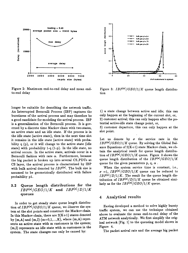

Figure 2: Maximum end-to-end delay and mean endto-end delay

longer be suitable for describing the network traffic. An Interrupted Bernoulli Process (IBP) captures the burstiness of the arrival process and may therefore be a good candidate for modeling the arrival process. IBP is a generalization of the Bernoulli process. It is governed by a discrete time Markov chain with two states, an active state and an idle state. If the process is in the idle state (active state), then in the next time slot it remains in the idle state (active state) with probability q (p), or it will change to the active state (idle state) with probability l-q (l-p). In the idle state, no arrival occurs. In the active state, arrivals occur in a Bernoulli fashion with rate  $\alpha$ . Furthermore, because the big packet is broken up into several CS\_PDUs at CS layer, the arrival process is characterized by IBP with bulk arrival denoted by  $IBP^{[x]}$ . The bulk size is assumed to be geometrically distributed with failure probability pl.

#### 3.2 Queue length distributions for the  $IBP<sup>[x]</sup>/GEO/1/K$  and  $IBP<sup>[x]</sup>/D/1/K$ queues

In order to get steady state queue length distribution of  $IBP^{[2]}/GEO/1/K$  queue, we observe the system at the slot points and construct the Markov chain. In this Markov chain, there are  $2(K+1)$  states denoted by  $(m,A)$  and  $(m,I)$   $(m=0,1,...,K)$ , where  $(m,A)$  represents an active state with m customers in the system; [m.I) represents an idle state with m customers in the system. The state changes can only be caused by:



Figure 3: *IBP(z] /GEO*/1/*K* queue length distribution

1) a state change between active and idle; this can only happen at the beginning of the current slot, or, 2) customer arrival; this can only happen after the potential active-idle state change point, or,

3) customer departure, this can only happen at the slot point.

Let us denote by  $\sigma$  the service rate in the  $IBP<sup>[**a**] / GEO/1/K</sup>$  queue. By solving the Global Balance Equations of  $2(K+1)$  state Markov chain, we obtain the analytical result for queue length distribution of  $IBP^{[**a**]} / GEO/1/K$  queue. Figure 3 shows the queue length distribution of the *IBP(z]/GEO/1/*K queue for the given parameters p, q,  $\alpha$ .

When the system service time is constant, i.e.,  $\sigma$  =1, *IBP*<sup>[a]</sup>/*GEO*/1/*K* queue can be reduced to  $IBP<sup>[z]</sup>/D/1/K$ . The result for the queue length distribution of  $IBP^{[x]}/D/1/K$  queue be obtained similarly as for the  $IBP^{[x]}/GEO/1/K$  queue.

#### 4 Analytical results

Having developed a method to solve highly bursty traffic system, we can use the technique obtained above to evaluate the mean end-to-end delay of the ATM network analytically. We first simplify the original network [Fig. 1] to the queueing model shown in Figure 4.

The packet arrival rate and the average big packet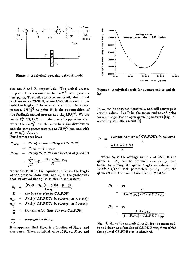

size are  $\lambda$  and X, respectively. The arrival process to point A is assumed to be  $IBP_1^{[x]}$  with parameters  $p,q,\alpha$ ; The bulk size is geometrically distributed with mean X/CS-SDU, where CS-SDU is used to denote the length of the service data unit. The arrival process,  $IBP_2^{[z]}$  at point B, is the superposition of the feedback arrival process and the  $IBP_1^{[x]}$ . We use an  $IBP_2^{[x]}/D/1/K$  to model queue 1 approximately, where the  $IBP_2^{[n]}$  has the same bulk size distribution and the same parameters  $\bm{{\rm p}},\bm{{\rm q}}$  as  $IBP^{[\bm{\bm{x}}]}_{\bm{1}}$  has, and with  $\alpha_1 = \alpha/(1-P_{refa}).$ Furthermore we have

 $P_{refra} = Prob(retransmitting a CS_PDU)$  $=$   $P_{block} + P_{bit-error}$  $=$   $Prob(CS_PDUs$  are blocked at point *B*)  $P_{block}$  $\sum_{i=1}^K B_i (1 - \frac{CS\_PDU}{V})^{K-j}$ j=O

where CS\_PDU in this equation indicates the length of the protocol data unit, and  $B_j$  is the probability that an arrival finds j CS-PDU:s in the system;

$$
B_j = \frac{(\pi_{j,1}p + \pi_{j,2}(1-q))(2-p-q)}{1-q};
$$
  
\n
$$
K = the buffer size in CSPDU;\n
$$
\pi_{j,1} = Prob(j CSPDUs in system, at A state);
$$
  
\n
$$
\pi_{j,2} = Prob(j CSPDUs in system, at I state);
$$
  
\n
$$
\frac{1}{\mu} = transmission time for one CSPDU;\n
$$
\frac{1}{\mu_p} = propagation delay.
$$
$$
$$

It is apparent that  $P_{refx}$  is a function of  $P_{block}$ , and vice versa. Given an initial value of  $P_{refx}$ ,  $P_{refx}$  and



Figure 5: Analytical result for average end-to-end delay

*Pbloch* can be obtained iteratively, and will converge to certain values. Let D be the mean end-to-end delay for a message. For an open queueing network [Fig. 4], according to Little's result [6]

$$
D = \frac{\text{average number of CS-PDUs in network}}{\lambda}
$$
  
= 
$$
\frac{N1 + N2 + N3}{\lambda}
$$

where  $N_i$  is the average number of CS\_PDUs in queue i.  $N_1$  can be obtained numerically from Sec.3, by solving the queue length distribution of  $IBP<sup>[z]</sup>/D/1/K$  with parameters  $p,q,\alpha_1$ . For the queues 2 and 3 the model used is the  $M/M/\infty$ 

$$
N_2 = \rho_2
$$
  
= 
$$
\frac{\lambda X}{(1 - P_{refx}) * CS.PDU * \mu_p}
$$
.  

$$
N_3 = \rho_3
$$
  
= 
$$
\frac{\lambda X P_{refx}}{(1 - P_{refx}) * CS.PDU * \mu_p}
$$
.

Fig. 5. shows the numerical result for the mean endto-end delay as a function of CS-PDU size, from which the optimal CS-PDU size is obtained.